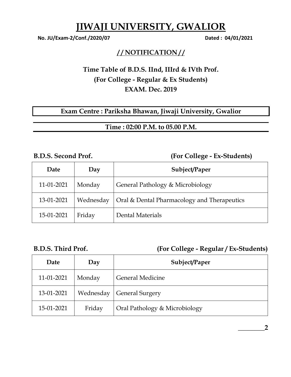# **JIWAJI UNIVERSITY, GWALIOR**

 **No. JU/Exam-2/Conf./2020/07 Dated : 04/01/2021** 

### **/ / NOTIFICATION / /**

## **Time Table of B.D.S. IInd, IIIrd & IVth Prof. (For College - Regular & Ex Students) EXAM. Dec. 2019**

### **Exam Centre : Pariksha Bhawan, Jiwaji University, Gwalior**

**Time : 02:00 P.M. to 05.00 P.M.** 

### **B.D.S. Second Prof. (For College - Ex-Students)**

| Date       | Day       | Subject/Paper                               |
|------------|-----------|---------------------------------------------|
| 11-01-2021 | Monday    | General Pathology & Microbiology            |
| 13-01-2021 | Wednesday | Oral & Dental Pharmacology and Therapeutics |
| 15-01-2021 | Friday    | Dental Materials                            |

### **B.D.S. Third Prof. (For College - Regular / Ex-Students)**

| Date       | Day       | Subject/Paper                 |
|------------|-----------|-------------------------------|
| 11-01-2021 | Monday    | <b>General Medicine</b>       |
| 13-01-2021 | Wednesday | <b>General Surgery</b>        |
| 15-01-2021 | Friday    | Oral Pathology & Microbiology |